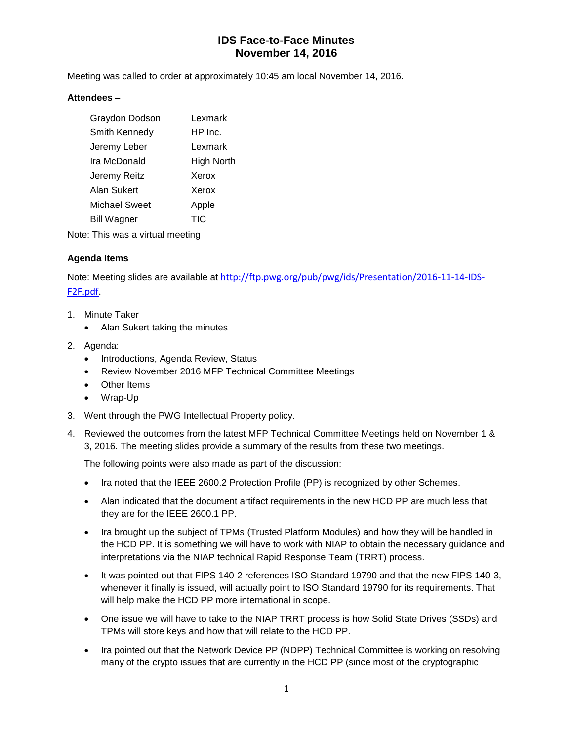## **IDS Face-to-Face Minutes November 14, 2016**

Meeting was called to order at approximately 10:45 am local November 14, 2016.

#### **Attendees –**

| Graydon Dodson     | Lexmark    |
|--------------------|------------|
| Smith Kennedy      | HP Inc.    |
| Jeremy Leber       | Lexmark    |
| Ira McDonald       | High North |
| Jeremy Reitz       | Xerox      |
| Alan Sukert        | Xerox      |
| Michael Sweet      | Apple      |
| <b>Bill Wagner</b> | TIC        |
|                    |            |

Note: This was a virtual meeting

#### **Agenda Items**

Note: Meeting slides are available at [http://ftp.pwg.org/pub/pwg/ids/Presentation/2016-11-14-IDS-](http://ftp.pwg.org/pub/pwg/ids/Presentation/2016-11-14-IDS-F2F.pdf)[F2F.pdf.](http://ftp.pwg.org/pub/pwg/ids/Presentation/2016-11-14-IDS-F2F.pdf)

- 1. Minute Taker
	- Alan Sukert taking the minutes
- 2. Agenda:
	- Introductions, Agenda Review, Status
	- Review November 2016 MFP Technical Committee Meetings
	- Other Items
	- Wrap-Up
- 3. Went through the PWG Intellectual Property policy.
- 4. Reviewed the outcomes from the latest MFP Technical Committee Meetings held on November 1 & 3, 2016. The meeting slides provide a summary of the results from these two meetings.

The following points were also made as part of the discussion:

- Ira noted that the IEEE 2600.2 Protection Profile (PP) is recognized by other Schemes.
- Alan indicated that the document artifact requirements in the new HCD PP are much less that they are for the IEEE 2600.1 PP.
- Ira brought up the subject of TPMs (Trusted Platform Modules) and how they will be handled in the HCD PP. It is something we will have to work with NIAP to obtain the necessary guidance and interpretations via the NIAP technical Rapid Response Team (TRRT) process.
- It was pointed out that FIPS 140-2 references ISO Standard 19790 and that the new FIPS 140-3, whenever it finally is issued, will actually point to ISO Standard 19790 for its requirements. That will help make the HCD PP more international in scope.
- One issue we will have to take to the NIAP TRRT process is how Solid State Drives (SSDs) and TPMs will store keys and how that will relate to the HCD PP.
- Ira pointed out that the Network Device PP (NDPP) Technical Committee is working on resolving many of the crypto issues that are currently in the HCD PP (since most of the cryptographic